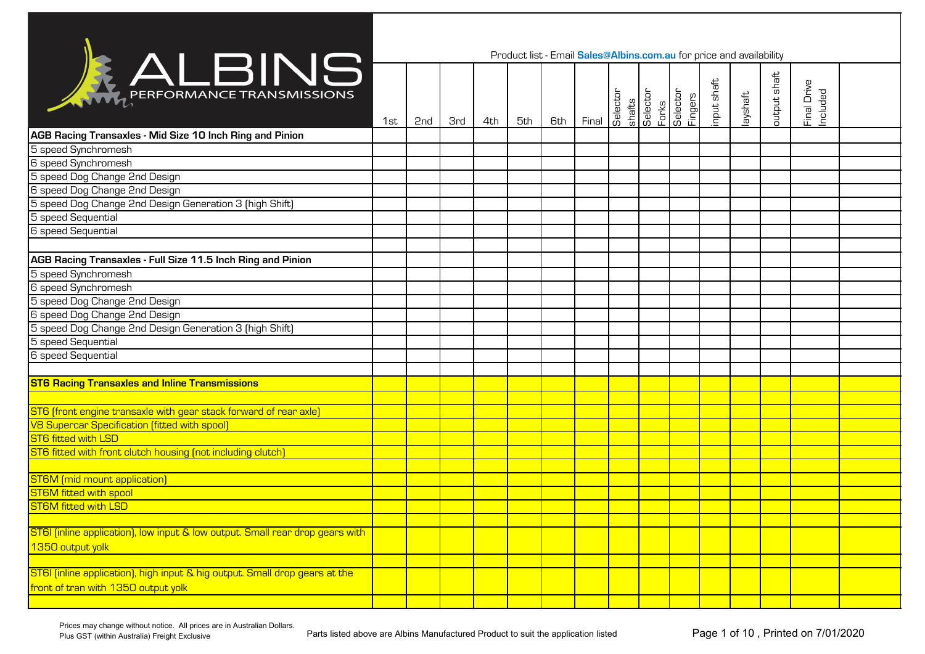|                                                                               |     |                 |            |     | Product list - Email Sales@Albins.com.au for price and availability |     |       |                    |                   |                      |             |          |              |                         |  |
|-------------------------------------------------------------------------------|-----|-----------------|------------|-----|---------------------------------------------------------------------|-----|-------|--------------------|-------------------|----------------------|-------------|----------|--------------|-------------------------|--|
| ALBINS                                                                        | 1st | 2 <sub>nd</sub> | <b>3rd</b> | 4th | 5th                                                                 | 6th | Final | Selector<br>shafts | Selector<br>Forks | Selector<br>Selector | input shaft | layshaft | putput shaft | Final Drive<br>Included |  |
| AGB Racing Transaxles - Mid Size 10 Inch Ring and Pinion                      |     |                 |            |     |                                                                     |     |       |                    |                   |                      |             |          |              |                         |  |
| 5 speed Synchromesh                                                           |     |                 |            |     |                                                                     |     |       |                    |                   |                      |             |          |              |                         |  |
| 6 speed Synchromesh                                                           |     |                 |            |     |                                                                     |     |       |                    |                   |                      |             |          |              |                         |  |
| 5 speed Dog Change 2nd Design                                                 |     |                 |            |     |                                                                     |     |       |                    |                   |                      |             |          |              |                         |  |
| 6 speed Dog Change 2nd Design                                                 |     |                 |            |     |                                                                     |     |       |                    |                   |                      |             |          |              |                         |  |
| 5 speed Dog Change 2nd Design Generation 3 (high Shift)                       |     |                 |            |     |                                                                     |     |       |                    |                   |                      |             |          |              |                         |  |
| 5 speed Sequential                                                            |     |                 |            |     |                                                                     |     |       |                    |                   |                      |             |          |              |                         |  |
| 6 speed Sequential                                                            |     |                 |            |     |                                                                     |     |       |                    |                   |                      |             |          |              |                         |  |
|                                                                               |     |                 |            |     |                                                                     |     |       |                    |                   |                      |             |          |              |                         |  |
| <b>AGB Racing Transaxles - Full Size 11.5 Inch Ring and Pinion</b>            |     |                 |            |     |                                                                     |     |       |                    |                   |                      |             |          |              |                         |  |
| 5 speed Synchromesh                                                           |     |                 |            |     |                                                                     |     |       |                    |                   |                      |             |          |              |                         |  |
| 6 speed Synchromesh                                                           |     |                 |            |     |                                                                     |     |       |                    |                   |                      |             |          |              |                         |  |
| 5 speed Dog Change 2nd Design                                                 |     |                 |            |     |                                                                     |     |       |                    |                   |                      |             |          |              |                         |  |
| 6 speed Dog Change 2nd Design                                                 |     |                 |            |     |                                                                     |     |       |                    |                   |                      |             |          |              |                         |  |
| 5 speed Dog Change 2nd Design Generation 3 (high Shift)                       |     |                 |            |     |                                                                     |     |       |                    |                   |                      |             |          |              |                         |  |
| 5 speed Sequential                                                            |     |                 |            |     |                                                                     |     |       |                    |                   |                      |             |          |              |                         |  |
| 6 speed Sequential                                                            |     |                 |            |     |                                                                     |     |       |                    |                   |                      |             |          |              |                         |  |
|                                                                               |     |                 |            |     |                                                                     |     |       |                    |                   |                      |             |          |              |                         |  |
| <b>ST6 Racing Transaxles and Inline Transmissions</b>                         |     |                 |            |     |                                                                     |     |       |                    |                   |                      |             |          |              |                         |  |
|                                                                               |     |                 |            |     |                                                                     |     |       |                    |                   |                      |             |          |              |                         |  |
| ST6 (front engine transaxle with gear stack forward of rear axle)             |     |                 |            |     |                                                                     |     |       |                    |                   |                      |             |          |              |                         |  |
| V8 Supercar Specification [fitted with spool]                                 |     |                 |            |     |                                                                     |     |       |                    |                   |                      |             |          |              |                         |  |
| ST6 fitted with LSD                                                           |     |                 |            |     |                                                                     |     |       |                    |                   |                      |             |          |              |                         |  |
| ST6 fitted with front clutch housing (not including clutch)                   |     |                 |            |     |                                                                     |     |       |                    |                   |                      |             |          |              |                         |  |
|                                                                               |     |                 |            |     |                                                                     |     |       |                    |                   |                      |             |          |              |                         |  |
| <b>ST6M</b> [mid mount application]                                           |     |                 |            |     |                                                                     |     |       |                    |                   |                      |             |          |              |                         |  |
| <b>ST6M</b> fitted with spool                                                 |     |                 |            |     |                                                                     |     |       |                    |                   |                      |             |          |              |                         |  |
| <b>ST6M</b> fitted with LSD                                                   |     |                 |            |     |                                                                     |     |       |                    |                   |                      |             |          |              |                         |  |
|                                                                               |     |                 |            |     |                                                                     |     |       |                    |                   |                      |             |          |              |                         |  |
| ST6I (inline application), low input & low output. Small rear drop gears with |     |                 |            |     |                                                                     |     |       |                    |                   |                      |             |          |              |                         |  |
| 1350 output yolk                                                              |     |                 |            |     |                                                                     |     |       |                    |                   |                      |             |          |              |                         |  |
|                                                                               |     |                 |            |     |                                                                     |     |       |                    |                   |                      |             |          |              |                         |  |
| ST6I (inline application), high input & hig output. Small drop gears at the   |     |                 |            |     |                                                                     |     |       |                    |                   |                      |             |          |              |                         |  |
| front of tran with 1350 output yolk                                           |     |                 |            |     |                                                                     |     |       |                    |                   |                      |             |          |              |                         |  |
|                                                                               |     |                 |            |     |                                                                     |     |       |                    |                   |                      |             |          |              |                         |  |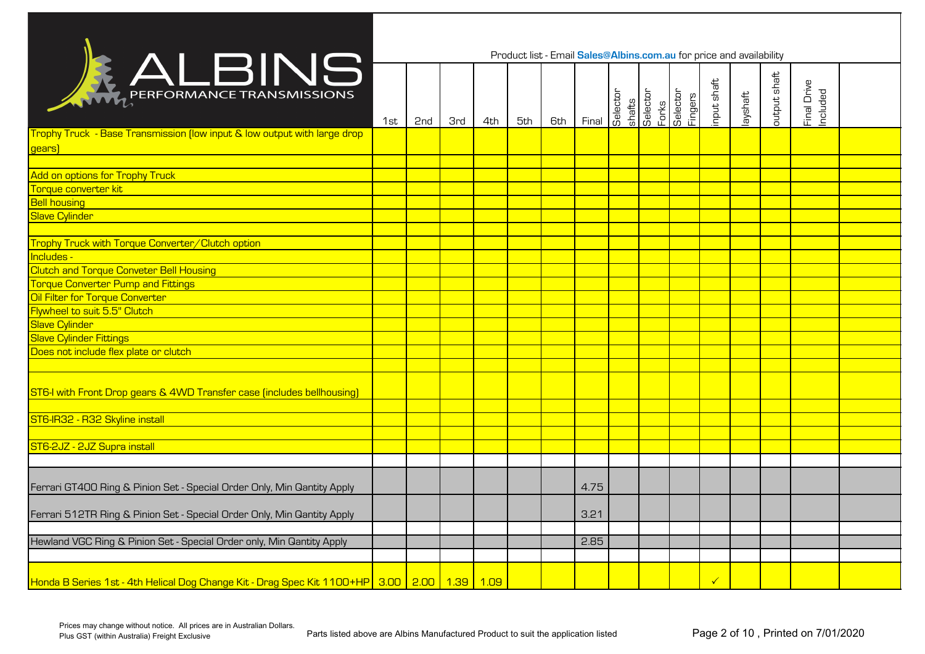|                                                                                                   |     |     |            |     |     |     | Product list - Email Sales@Albins.com.au for price and availability |          |                             |                     |             |          |              |                         |  |
|---------------------------------------------------------------------------------------------------|-----|-----|------------|-----|-----|-----|---------------------------------------------------------------------|----------|-----------------------------|---------------------|-------------|----------|--------------|-------------------------|--|
| RALBINS                                                                                           | 1st | 2nd | <b>3rd</b> | 4th | 5th | 6th | Final                                                               | Selector | shafts<br>Selector<br>Forks | Selector<br>Fingers | input shaft | layshaft | output shaft | Final Drive<br>Included |  |
| Trophy Truck - Base Transmission (low input & low output with large drop<br>gears)                |     |     |            |     |     |     |                                                                     |          |                             |                     |             |          |              |                         |  |
|                                                                                                   |     |     |            |     |     |     |                                                                     |          |                             |                     |             |          |              |                         |  |
| Add on options for Trophy Truck                                                                   |     |     |            |     |     |     |                                                                     |          |                             |                     |             |          |              |                         |  |
| Torque converter kit                                                                              |     |     |            |     |     |     |                                                                     |          |                             |                     |             |          |              |                         |  |
| <b>Bell housing</b>                                                                               |     |     |            |     |     |     |                                                                     |          |                             |                     |             |          |              |                         |  |
| <b>Slave Cylinder</b>                                                                             |     |     |            |     |     |     |                                                                     |          |                             |                     |             |          |              |                         |  |
| Trophy Truck with Torque Converter/Clutch option                                                  |     |     |            |     |     |     |                                                                     |          |                             |                     |             |          |              |                         |  |
| Includes -                                                                                        |     |     |            |     |     |     |                                                                     |          |                             |                     |             |          |              |                         |  |
| <b>Clutch and Torque Conveter Bell Housing</b>                                                    |     |     |            |     |     |     |                                                                     |          |                             |                     |             |          |              |                         |  |
| <b>Torque Converter Pump and Fittings</b>                                                         |     |     |            |     |     |     |                                                                     |          |                             |                     |             |          |              |                         |  |
| Oil Filter for Torque Converter                                                                   |     |     |            |     |     |     |                                                                     |          |                             |                     |             |          |              |                         |  |
| Flywheel to suit 5.5" Clutch                                                                      |     |     |            |     |     |     |                                                                     |          |                             |                     |             |          |              |                         |  |
| <b>Slave Cylinder</b>                                                                             |     |     |            |     |     |     |                                                                     |          |                             |                     |             |          |              |                         |  |
| <b>Slave Cylinder Fittings</b>                                                                    |     |     |            |     |     |     |                                                                     |          |                             |                     |             |          |              |                         |  |
| Does not include flex plate or clutch                                                             |     |     |            |     |     |     |                                                                     |          |                             |                     |             |          |              |                         |  |
|                                                                                                   |     |     |            |     |     |     |                                                                     |          |                             |                     |             |          |              |                         |  |
| ST6-I with Front Drop gears & 4WD Transfer case (includes bellhousing)                            |     |     |            |     |     |     |                                                                     |          |                             |                     |             |          |              |                         |  |
|                                                                                                   |     |     |            |     |     |     |                                                                     |          |                             |                     |             |          |              |                         |  |
| ST6-IR32 - R32 Skyline install                                                                    |     |     |            |     |     |     |                                                                     |          |                             |                     |             |          |              |                         |  |
|                                                                                                   |     |     |            |     |     |     |                                                                     |          |                             |                     |             |          |              |                         |  |
| ST6-2JZ - 2JZ Supra install                                                                       |     |     |            |     |     |     |                                                                     |          |                             |                     |             |          |              |                         |  |
|                                                                                                   |     |     |            |     |     |     |                                                                     |          |                             |                     |             |          |              |                         |  |
| Ferrari GT400 Ring & Pinion Set - Special Order Only, Min Qantity Apply                           |     |     |            |     |     |     | 4.75                                                                |          |                             |                     |             |          |              |                         |  |
| Ferrari 512TR Ring & Pinion Set - Special Order Only, Min Qantity Apply                           |     |     |            |     |     |     | 3.21                                                                |          |                             |                     |             |          |              |                         |  |
|                                                                                                   |     |     |            |     |     |     |                                                                     |          |                             |                     |             |          |              |                         |  |
| Hewland VGC Ring & Pinion Set - Special Order only, Min Qantity Apply                             |     |     |            |     |     |     | 2.85                                                                |          |                             |                     |             |          |              |                         |  |
|                                                                                                   |     |     |            |     |     |     |                                                                     |          |                             |                     |             |          |              |                         |  |
| Honda B Series 1st - 4th Helical Dog Change Kit - Drag Spec Kit 1100+HP 3.00   2.00   1.39   1.09 |     |     |            |     |     |     |                                                                     |          |                             |                     |             |          |              |                         |  |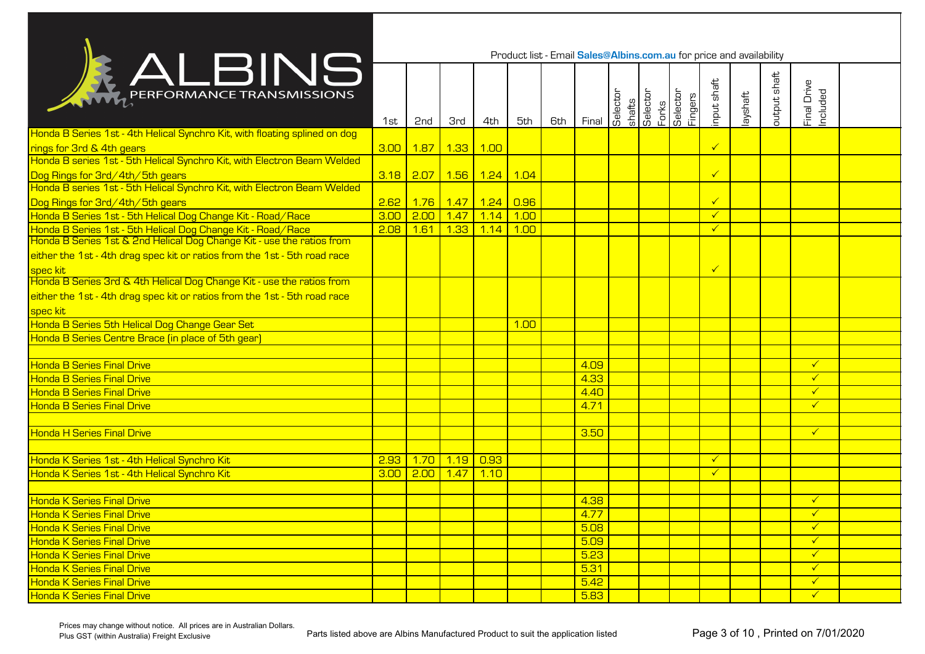|                                                                            |                   |                        |              |                      |      |     | Product list - Email Sales@Albins.com.au for price and availability |          |                             |                     |                        |          |              |                         |  |
|----------------------------------------------------------------------------|-------------------|------------------------|--------------|----------------------|------|-----|---------------------------------------------------------------------|----------|-----------------------------|---------------------|------------------------|----------|--------------|-------------------------|--|
| <b>KALBINS</b>                                                             | 1st               | 2 <sub>nd</sub>        | <b>3rd</b>   | 4th                  | 5th  | 6th | Final                                                               | Selector | shafts<br>Selector<br>Forks | Selector<br>Fingers | input shaft            | layshaft | output shaft | Final Drive<br>Included |  |
| Honda B Series 1st - 4th Helical Synchro Kit, with floating splined on dog |                   |                        |              |                      |      |     |                                                                     |          |                             |                     |                        |          |              |                         |  |
| rings for 3rd & 4th gears                                                  | 3.00              | <mark>1.87 1.33</mark> |              | 1.00                 |      |     |                                                                     |          |                             |                     | $\sqrt{\frac{2}{\pi}}$ |          |              |                         |  |
| Honda B series 1st - 5th Helical Synchro Kit, with Electron Beam Welded    |                   |                        |              |                      |      |     |                                                                     |          |                             |                     |                        |          |              |                         |  |
| Dog Rings for 3rd/4th/5th gears                                            |                   | 3.18 2.07 1.56 1.24    |              |                      | 1.04 |     |                                                                     |          |                             |                     | $\checkmark$           |          |              |                         |  |
| Honda B series 1st - 5th Helical Synchro Kit, with Electron Beam Welded    |                   |                        |              |                      |      |     |                                                                     |          |                             |                     |                        |          |              |                         |  |
| Dog Rings for 3rd/4th/5th gears                                            | 2.62              |                        |              | 1.76 1.47 1.24 0.96  |      |     |                                                                     |          |                             |                     | $\checkmark$           |          |              |                         |  |
| Honda B Series 1st - 5th Helical Dog Change Kit - Road/Race                | 3.00              | $2.00$ 1.47            |              | $\vert$ 1.14 $\vert$ | 1.00 |     |                                                                     |          |                             |                     | $\checkmark$           |          |              |                         |  |
| Honda B Series 1st - 5th Helical Dog Change Kit - Road/Race                | 2.08              | 1.61                   | $\vert$ 1.33 | 1.14                 | 1.00 |     |                                                                     |          |                             |                     | $\checkmark$           |          |              |                         |  |
| Honda B Series 1st & 2nd Helical Dog Change Kit - use the ratios from      |                   |                        |              |                      |      |     |                                                                     |          |                             |                     |                        |          |              |                         |  |
| either the 1st - 4th drag spec kit or ratios from the 1st - 5th road race  |                   |                        |              |                      |      |     |                                                                     |          |                             |                     |                        |          |              |                         |  |
| spec kit                                                                   |                   |                        |              |                      |      |     |                                                                     |          |                             |                     | $\checkmark$           |          |              |                         |  |
| Honda B Series 3rd & 4th Helical Dog Change Kit - use the ratios from      |                   |                        |              |                      |      |     |                                                                     |          |                             |                     |                        |          |              |                         |  |
| either the 1st - 4th drag spec kit or ratios from the 1st - 5th road race  |                   |                        |              |                      |      |     |                                                                     |          |                             |                     |                        |          |              |                         |  |
| spec kit                                                                   |                   |                        |              |                      |      |     |                                                                     |          |                             |                     |                        |          |              |                         |  |
| Honda B Series 5th Helical Dog Change Gear Set                             |                   |                        |              |                      | 1.00 |     |                                                                     |          |                             |                     |                        |          |              |                         |  |
| Honda B Series Centre Brace (in place of 5th gear)                         |                   |                        |              |                      |      |     |                                                                     |          |                             |                     |                        |          |              |                         |  |
|                                                                            |                   |                        |              |                      |      |     |                                                                     |          |                             |                     |                        |          |              |                         |  |
| <b>Honda B Series Final Drive</b>                                          |                   |                        |              |                      |      |     | 4.09                                                                |          |                             |                     |                        |          |              | $\checkmark$            |  |
| <b>Honda B Series Final Drive</b>                                          |                   |                        |              |                      |      |     | 4.33                                                                |          |                             |                     |                        |          |              | $\checkmark$            |  |
| <b>Honda B Series Final Drive</b>                                          |                   |                        |              |                      |      |     | 4.40                                                                |          |                             |                     |                        |          |              | $\checkmark$            |  |
| <b>Honda B Series Final Drive</b>                                          |                   |                        |              |                      |      |     | 4.71                                                                |          |                             |                     |                        |          |              | $\checkmark$            |  |
|                                                                            |                   |                        |              |                      |      |     |                                                                     |          |                             |                     |                        |          |              |                         |  |
| <b>Honda H Series Final Drive</b>                                          |                   |                        |              |                      |      |     | 3.50                                                                |          |                             |                     |                        |          |              | $\checkmark$            |  |
|                                                                            |                   |                        |              |                      |      |     |                                                                     |          |                             |                     |                        |          |              |                         |  |
| Honda K Series 1st - 4th Helical Synchro Kit                               | 2.93              | 1.70                   | $\vert$ 1.19 | $\overline{0.93}$    |      |     |                                                                     |          |                             |                     | $\checkmark$           |          |              |                         |  |
| Honda K Series 1st - 4th Helical Synchro Kit                               | 3.00 <sub>1</sub> | 2.00                   | 1.47         | 1.10                 |      |     |                                                                     |          |                             |                     | $\checkmark$           |          |              |                         |  |
|                                                                            |                   |                        |              |                      |      |     |                                                                     |          |                             |                     |                        |          |              |                         |  |
| <b>Honda K Series Final Drive</b>                                          |                   |                        |              |                      |      |     | 4.38                                                                |          |                             |                     |                        |          |              | $\checkmark$            |  |
| <b>Honda K Series Final Drive</b>                                          |                   |                        |              |                      |      |     | 4.77                                                                |          |                             |                     |                        |          |              |                         |  |
| <b>Honda K Series Final Drive</b>                                          |                   |                        |              |                      |      |     | 5.08                                                                |          |                             |                     |                        |          |              | $\checkmark$            |  |
| <b>Honda K Series Final Drive</b>                                          |                   |                        |              |                      |      |     | 5.09                                                                |          |                             |                     |                        |          |              | $\checkmark$            |  |
| <b>Honda K Series Final Drive</b>                                          |                   |                        |              |                      |      |     | 5.23                                                                |          |                             |                     |                        |          |              | $\checkmark$            |  |
| <b>Honda K Series Final Drive</b>                                          |                   |                        |              |                      |      |     | 5.31                                                                |          |                             |                     |                        |          |              | $\checkmark$            |  |
| <b>Honda K Series Final Drive</b>                                          |                   |                        |              |                      |      |     | 5.42                                                                |          |                             |                     |                        |          |              | $\checkmark$            |  |
| <b>Honda K Series Final Drive</b>                                          |                   |                        |              |                      |      |     | 5.83                                                                |          |                             |                     |                        |          |              | $\sqrt{2}$              |  |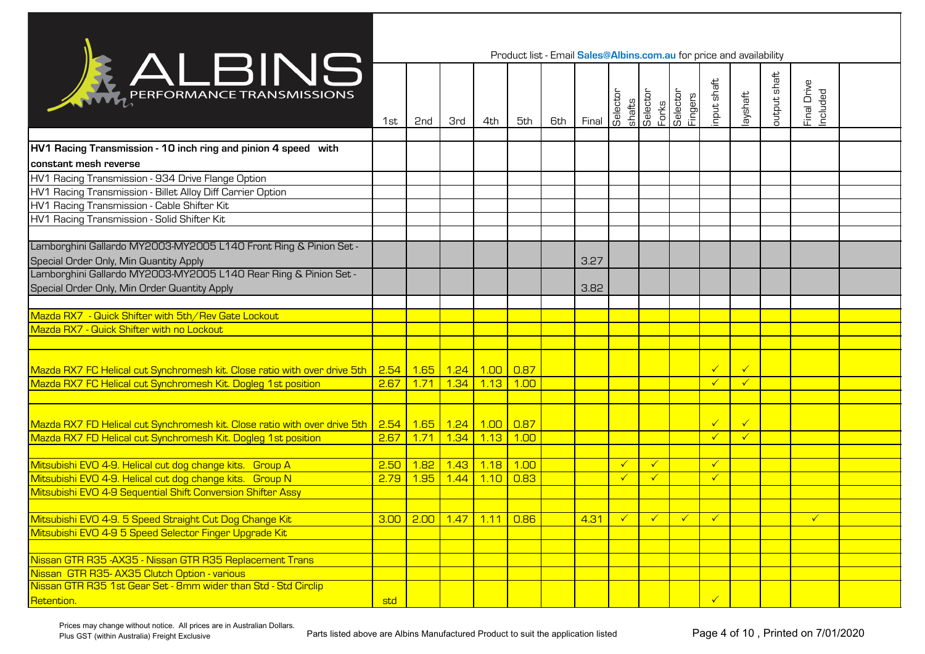|                                                                                                              |      |     |                                  |                        | Product list - Email Sales@Albins.com.au for price and availability |     |                      |              |                    |                              |              |              |              |                         |  |
|--------------------------------------------------------------------------------------------------------------|------|-----|----------------------------------|------------------------|---------------------------------------------------------------------|-----|----------------------|--------------|--------------------|------------------------------|--------------|--------------|--------------|-------------------------|--|
| RALBING                                                                                                      | 1st  | 2nd | <b>3rd</b>                       | 4th                    | 5th                                                                 | 6th | Final                | Selector     | shafts<br>Selector | Forks<br>Selector<br>Fingers | input shaft  | layshaft     | output shaft | Final Drive<br>Included |  |
|                                                                                                              |      |     |                                  |                        |                                                                     |     |                      |              |                    |                              |              |              |              |                         |  |
| HV1 Racing Transmission - 10 inch ring and pinion 4 speed with                                               |      |     |                                  |                        |                                                                     |     |                      |              |                    |                              |              |              |              |                         |  |
| constant mesh reverse                                                                                        |      |     |                                  |                        |                                                                     |     |                      |              |                    |                              |              |              |              |                         |  |
| HV1 Racing Transmission - 934 Drive Flange Option                                                            |      |     |                                  |                        |                                                                     |     |                      |              |                    |                              |              |              |              |                         |  |
| HV1 Racing Transmission - Billet Alloy Diff Carrier Option                                                   |      |     |                                  |                        |                                                                     |     |                      |              |                    |                              |              |              |              |                         |  |
| HV1 Racing Transmission - Cable Shifter Kit                                                                  |      |     |                                  |                        |                                                                     |     |                      |              |                    |                              |              |              |              |                         |  |
| HV1 Racing Transmission - Solid Shifter Kit                                                                  |      |     |                                  |                        |                                                                     |     |                      |              |                    |                              |              |              |              |                         |  |
|                                                                                                              |      |     |                                  |                        |                                                                     |     |                      |              |                    |                              |              |              |              |                         |  |
| Lamborghini Gallardo MY2003-MY2005 L140 Front Ring & Pinion Set -                                            |      |     |                                  |                        |                                                                     |     |                      |              |                    |                              |              |              |              |                         |  |
| Special Order Only, Min Quantity Apply                                                                       |      |     |                                  |                        |                                                                     |     | 3.27                 |              |                    |                              |              |              |              |                         |  |
| Lamborghini Gallardo MY2003-MY2005 L140 Rear Ring & Pinion Set -                                             |      |     |                                  |                        |                                                                     |     |                      |              |                    |                              |              |              |              |                         |  |
| Special Order Only, Min Order Quantity Apply                                                                 |      |     |                                  |                        |                                                                     |     | 3.82                 |              |                    |                              |              |              |              |                         |  |
|                                                                                                              |      |     |                                  |                        |                                                                     |     |                      |              |                    |                              |              |              |              |                         |  |
| Mazda RX7 - Quick Shifter with 5th/Rev Gate Lockout                                                          |      |     |                                  |                        |                                                                     |     |                      |              |                    |                              |              |              |              |                         |  |
| Mazda RX7 - Quick Shifter with no Lockout                                                                    |      |     |                                  |                        |                                                                     |     |                      |              |                    |                              |              |              |              |                         |  |
|                                                                                                              |      |     |                                  |                        |                                                                     |     |                      |              |                    |                              |              |              |              |                         |  |
|                                                                                                              |      |     |                                  |                        |                                                                     |     |                      |              |                    |                              |              |              |              |                         |  |
| Mazda RX7 FC Helical cut Synchromesh kit. Close ratio with over drive 5th 2.54 1.65 1.24 1.00 0.87           |      |     |                                  |                        |                                                                     |     |                      |              |                    |                              | $\checkmark$ | $\checkmark$ |              |                         |  |
| Mazda RX7 FC Helical cut Synchromesh Kit. Dogleg 1st position                                                | 2.67 |     | <mark>1.71   1.34  </mark>       | <mark>1.13 1.00</mark> |                                                                     |     |                      |              |                    |                              |              | $\checkmark$ |              |                         |  |
|                                                                                                              |      |     |                                  |                        |                                                                     |     |                      |              |                    |                              |              |              |              |                         |  |
| Mazda RX7 FD Helical cut Synchromesh kit. Close ratio with over drive 5th   2.54   1.65   1.24   1.00   0.87 |      |     |                                  |                        |                                                                     |     |                      |              |                    |                              | $\checkmark$ | $\checkmark$ |              |                         |  |
| Mazda RX7 FD Helical cut Synchromesh Kit. Dogleg 1st position                                                |      |     | 2.67 1.71 1.34 1.13 1.00         |                        |                                                                     |     |                      |              |                    |                              |              | $\checkmark$ |              |                         |  |
|                                                                                                              |      |     |                                  |                        |                                                                     |     |                      |              |                    |                              |              |              |              |                         |  |
| Mitsubishi EVO 4-9. Helical cut dog change kits. Group A                                                     | 2.50 |     | <mark>1.82 1.43 1.18 1.00</mark> |                        |                                                                     |     |                      | $\checkmark$ | $\checkmark$       |                              | $\checkmark$ |              |              |                         |  |
| Mitsubishi EVO 4-9. Helical cut dog change kits. Group N                                                     | 2.79 |     | 1.95 1.44 1.10 0.83              |                        |                                                                     |     |                      | $\checkmark$ | $\checkmark$       |                              | $\checkmark$ |              |              |                         |  |
| Mitsubishi EVO 4-9 Sequential Shift Conversion Shifter Assy                                                  |      |     |                                  |                        |                                                                     |     |                      |              |                    |                              |              |              |              |                         |  |
|                                                                                                              |      |     |                                  |                        |                                                                     |     |                      |              |                    |                              |              |              |              |                         |  |
| Mitsubishi EVO 4-9. 5 Speed Straight Cut Dog Change Kit                                                      |      |     |                                  |                        | 3.00 2.00 1.47 1.11 0.86                                            |     | $\vert$ 4.31 $\vert$ | $\prec$      | $\checkmark$       | <b>V</b>                     |              |              |              |                         |  |
| Mitsubishi EVO 4-9 5 Speed Selector Finger Upgrade Kit                                                       |      |     |                                  |                        |                                                                     |     |                      |              |                    |                              |              |              |              |                         |  |
|                                                                                                              |      |     |                                  |                        |                                                                     |     |                      |              |                    |                              |              |              |              |                         |  |
| Nissan GTR R35 - AX35 - Nissan GTR R35 Replacement Trans                                                     |      |     |                                  |                        |                                                                     |     |                      |              |                    |                              |              |              |              |                         |  |
| Nissan GTR R35-AX35 Clutch Option - various                                                                  |      |     |                                  |                        |                                                                     |     |                      |              |                    |                              |              |              |              |                         |  |
| Nissan GTR R35 1st Gear Set - 8mm wider than Std - Std Circlip                                               |      |     |                                  |                        |                                                                     |     |                      |              |                    |                              |              |              |              |                         |  |
| Retention.                                                                                                   | std  |     |                                  |                        |                                                                     |     |                      |              |                    |                              | $\checkmark$ |              |              |                         |  |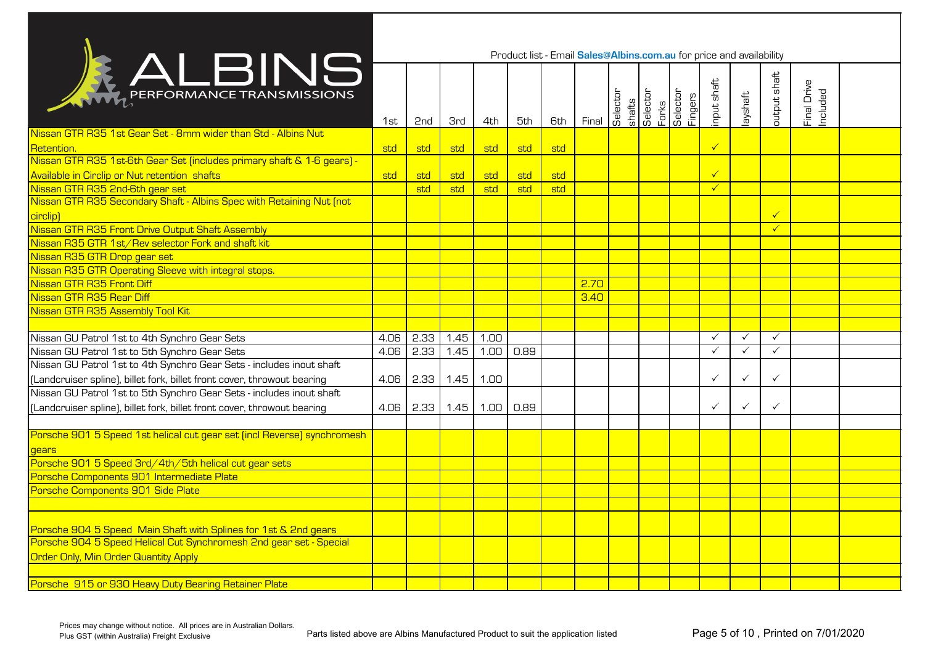|                                                                         |      |      |            |      | Product list - Email Sales@Albins.com.au for price and availability |     |       |          |                             |                     |              |              |                 |                         |  |
|-------------------------------------------------------------------------|------|------|------------|------|---------------------------------------------------------------------|-----|-------|----------|-----------------------------|---------------------|--------------|--------------|-----------------|-------------------------|--|
| <b>ALBINS</b>                                                           | 1st  | 2nd  | <b>3rd</b> | 4th  | 5th                                                                 | 6th | Final | Selector | shafts<br>Selector<br>Forks | Selector<br>Fingers | input shaft  | layshaft     | output shaft    | Final Drive<br>Included |  |
| Nissan GTR R35 1st Gear Set - 8mm wider than Std - Albins Nut           |      |      |            |      |                                                                     |     |       |          |                             |                     |              |              |                 |                         |  |
| Retention.                                                              | std  | std  | std        | std  | std                                                                 | std |       |          |                             |                     | $\checkmark$ |              |                 |                         |  |
| Nissan GTR R35 1st-6th Gear Set (includes primary shaft & 1-6 gears) -  |      |      |            |      |                                                                     |     |       |          |                             |                     |              |              |                 |                         |  |
| Available in Circlip or Nut retention shafts                            | std  | std  | std        | std  | std                                                                 | std |       |          |                             |                     | $\checkmark$ |              |                 |                         |  |
| Nissan GTR R35 2nd-6th gear set                                         |      | std  | std        | std  | std                                                                 | std |       |          |                             |                     | $\checkmark$ |              |                 |                         |  |
| Nissan GTR R35 Secondary Shaft - Albins Spec with Retaining Nut (not    |      |      |            |      |                                                                     |     |       |          |                             |                     |              |              |                 |                         |  |
| circlip)                                                                |      |      |            |      |                                                                     |     |       |          |                             |                     |              |              | $\blacklozenge$ |                         |  |
| Nissan GTR R35 Front Drive Output Shaft Assembly                        |      |      |            |      |                                                                     |     |       |          |                             |                     |              |              | $\checkmark$    |                         |  |
| Nissan R35 GTR 1st/Rev selector Fork and shaft kit                      |      |      |            |      |                                                                     |     |       |          |                             |                     |              |              |                 |                         |  |
| Nissan R35 GTR Drop gear set                                            |      |      |            |      |                                                                     |     |       |          |                             |                     |              |              |                 |                         |  |
| Nissan R35 GTR Operating Sleeve with integral stops.                    |      |      |            |      |                                                                     |     |       |          |                             |                     |              |              |                 |                         |  |
| Nissan GTR R35 Front Diff                                               |      |      |            |      |                                                                     |     | 2.70  |          |                             |                     |              |              |                 |                         |  |
| Nissan GTR R35 Rear Diff                                                |      |      |            |      |                                                                     |     | 3.40  |          |                             |                     |              |              |                 |                         |  |
| Nissan GTR R35 Assembly Tool Kit                                        |      |      |            |      |                                                                     |     |       |          |                             |                     |              |              |                 |                         |  |
|                                                                         |      |      |            |      |                                                                     |     |       |          |                             |                     |              |              |                 |                         |  |
| Nissan GU Patrol 1st to 4th Synchro Gear Sets                           | 4.06 | 2.33 | 1.45       | 1.00 |                                                                     |     |       |          |                             |                     | ✓            | $\checkmark$ | $\checkmark$    |                         |  |
| Nissan GU Patrol 1st to 5th Synchro Gear Sets                           | 4.06 | 2.33 | 1.45       | 1.00 | 0.89                                                                |     |       |          |                             |                     | $\checkmark$ | $\checkmark$ | $\checkmark$    |                         |  |
| Nissan GU Patrol 1st to 4th Synchro Gear Sets - includes inout shaft    |      |      |            |      |                                                                     |     |       |          |                             |                     |              |              |                 |                         |  |
| [Landcruiser spline], billet fork, billet front cover, throwout bearing | 4.06 | 2.33 | 1.45       | 1.00 |                                                                     |     |       |          |                             |                     |              | $\checkmark$ | $\checkmark$    |                         |  |
| Nissan GU Patrol 1st to 5th Synchro Gear Sets - includes inout shaft    |      |      |            |      |                                                                     |     |       |          |                             |                     |              |              |                 |                         |  |
| [Landcruiser spline], billet fork, billet front cover, throwout bearing | 4.06 | 2.33 | 1.45       | 1.00 | 0.89                                                                |     |       |          |                             |                     | ✓            | $\checkmark$ | $\checkmark$    |                         |  |
|                                                                         |      |      |            |      |                                                                     |     |       |          |                             |                     |              |              |                 |                         |  |
| Porsche 901 5 Speed 1st helical cut gear set (incl Reverse) synchromesh |      |      |            |      |                                                                     |     |       |          |                             |                     |              |              |                 |                         |  |
| gears                                                                   |      |      |            |      |                                                                     |     |       |          |                             |                     |              |              |                 |                         |  |
| Porsche 901 5 Speed 3rd/4th/5th helical cut gear sets                   |      |      |            |      |                                                                     |     |       |          |                             |                     |              |              |                 |                         |  |
| Porsche Components 901 Intermediate Plate                               |      |      |            |      |                                                                     |     |       |          |                             |                     |              |              |                 |                         |  |
| Porsche Components 901 Side Plate                                       |      |      |            |      |                                                                     |     |       |          |                             |                     |              |              |                 |                         |  |
|                                                                         |      |      |            |      |                                                                     |     |       |          |                             |                     |              |              |                 |                         |  |
|                                                                         |      |      |            |      |                                                                     |     |       |          |                             |                     |              |              |                 |                         |  |
| Porsche 904 5 Speed Main Shaft with Splines for 1st & 2nd gears         |      |      |            |      |                                                                     |     |       |          |                             |                     |              |              |                 |                         |  |
| Porsche 904 5 Speed Helical Cut Synchromesh 2nd gear set - Special      |      |      |            |      |                                                                     |     |       |          |                             |                     |              |              |                 |                         |  |
| <b>Order Only, Min Order Quantity Apply</b>                             |      |      |            |      |                                                                     |     |       |          |                             |                     |              |              |                 |                         |  |
|                                                                         |      |      |            |      |                                                                     |     |       |          |                             |                     |              |              |                 |                         |  |
| Porsche 915 or 930 Heavy Duty Bearing Retainer Plate                    |      |      |            |      |                                                                     |     |       |          |                             |                     |              |              |                 |                         |  |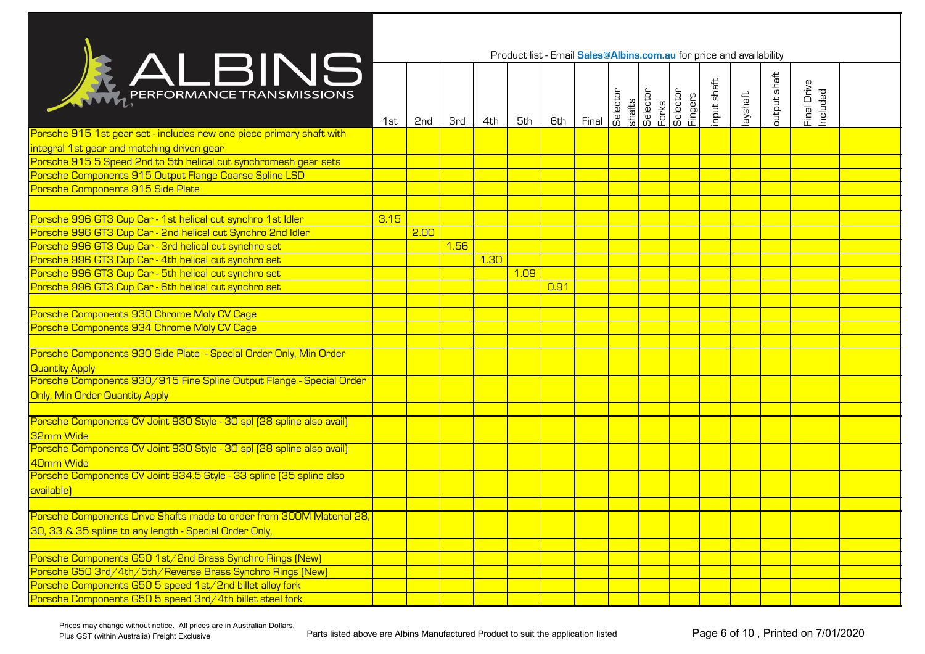|                                                                                            |      |                 |            |      |      |      | Product list - Email Sales@Albins.com.au for price and availability |          |                    |                              |             |          |              |                         |  |
|--------------------------------------------------------------------------------------------|------|-----------------|------------|------|------|------|---------------------------------------------------------------------|----------|--------------------|------------------------------|-------------|----------|--------------|-------------------------|--|
| <b>RALBINS</b>                                                                             | 1st  | 2 <sub>nd</sub> | <b>3rd</b> | 4th  | 5th  | 6th  | Final                                                               | Selector | shafts<br>Selector | Forks<br>Selector<br>Fingers | input shaft | layshaft | output shaft | Final Drive<br>Included |  |
| Porsche 915 1st gear set - includes new one piece primary shaft with                       |      |                 |            |      |      |      |                                                                     |          |                    |                              |             |          |              |                         |  |
| integral 1st gear and matching driven gear                                                 |      |                 |            |      |      |      |                                                                     |          |                    |                              |             |          |              |                         |  |
| Porsche 915 5 Speed 2nd to 5th helical cut synchromesh gear sets                           |      |                 |            |      |      |      |                                                                     |          |                    |                              |             |          |              |                         |  |
| Porsche Components 915 Output Flange Coarse Spline LSD                                     |      |                 |            |      |      |      |                                                                     |          |                    |                              |             |          |              |                         |  |
| Porsche Components 915 Side Plate                                                          |      |                 |            |      |      |      |                                                                     |          |                    |                              |             |          |              |                         |  |
|                                                                                            |      |                 |            |      |      |      |                                                                     |          |                    |                              |             |          |              |                         |  |
| Porsche 996 GT3 Cup Car - 1st helical cut synchro 1st Idler                                | 3.15 |                 |            |      |      |      |                                                                     |          |                    |                              |             |          |              |                         |  |
| Porsche 996 GT3 Cup Car - 2nd helical cut Synchro 2nd Idler                                |      | 2.00            |            |      |      |      |                                                                     |          |                    |                              |             |          |              |                         |  |
| Porsche 996 GT3 Cup Car - 3rd helical cut synchro set                                      |      |                 | 1.56       |      |      |      |                                                                     |          |                    |                              |             |          |              |                         |  |
| Porsche 996 GT3 Cup Car - 4th helical cut synchro set                                      |      |                 |            | 1.30 |      |      |                                                                     |          |                    |                              |             |          |              |                         |  |
| Porsche 996 GT3 Cup Car - 5th helical cut synchro set                                      |      |                 |            |      | 1.09 |      |                                                                     |          |                    |                              |             |          |              |                         |  |
| Porsche 996 GT3 Cup Car - 6th helical cut synchro set                                      |      |                 |            |      |      | 0.91 |                                                                     |          |                    |                              |             |          |              |                         |  |
|                                                                                            |      |                 |            |      |      |      |                                                                     |          |                    |                              |             |          |              |                         |  |
| Porsche Components 930 Chrome Moly CV Cage                                                 |      |                 |            |      |      |      |                                                                     |          |                    |                              |             |          |              |                         |  |
| Porsche Components 934 Chrome Moly CV Cage                                                 |      |                 |            |      |      |      |                                                                     |          |                    |                              |             |          |              |                         |  |
|                                                                                            |      |                 |            |      |      |      |                                                                     |          |                    |                              |             |          |              |                         |  |
| Porsche Components 930 Side Plate - Special Order Only, Min Order<br><b>Quantity Apply</b> |      |                 |            |      |      |      |                                                                     |          |                    |                              |             |          |              |                         |  |
| Porsche Components 930/915 Fine Spline Output Flange - Special Order                       |      |                 |            |      |      |      |                                                                     |          |                    |                              |             |          |              |                         |  |
| <b>Only, Min Order Quantity Apply</b>                                                      |      |                 |            |      |      |      |                                                                     |          |                    |                              |             |          |              |                         |  |
|                                                                                            |      |                 |            |      |      |      |                                                                     |          |                    |                              |             |          |              |                         |  |
| Porsche Components CV Joint 930 Style - 30 spl (28 spline also avail)<br>32mm Wide         |      |                 |            |      |      |      |                                                                     |          |                    |                              |             |          |              |                         |  |
| Porsche Components CV Joint 930 Style - 30 spl (28 spline also avail)                      |      |                 |            |      |      |      |                                                                     |          |                    |                              |             |          |              |                         |  |
| 40mm Wide                                                                                  |      |                 |            |      |      |      |                                                                     |          |                    |                              |             |          |              |                         |  |
| Porsche Components CV Joint 934.5 Style - 33 spline (35 spline also                        |      |                 |            |      |      |      |                                                                     |          |                    |                              |             |          |              |                         |  |
| available)                                                                                 |      |                 |            |      |      |      |                                                                     |          |                    |                              |             |          |              |                         |  |
|                                                                                            |      |                 |            |      |      |      |                                                                     |          |                    |                              |             |          |              |                         |  |
| Porsche Components Drive Shafts made to order from 300M Material 28,                       |      |                 |            |      |      |      |                                                                     |          |                    |                              |             |          |              |                         |  |
| 30, 33 & 35 spline to any length - Special Order Only,                                     |      |                 |            |      |      |      |                                                                     |          |                    |                              |             |          |              |                         |  |
|                                                                                            |      |                 |            |      |      |      |                                                                     |          |                    |                              |             |          |              |                         |  |
| Porsche Components G50 1st/2nd Brass Synchro Rings [New]                                   |      |                 |            |      |      |      |                                                                     |          |                    |                              |             |          |              |                         |  |
| Porsche G50 3rd/4th/5th/Reverse Brass Synchro Rings (New)                                  |      |                 |            |      |      |      |                                                                     |          |                    |                              |             |          |              |                         |  |
| Porsche Components G50 5 speed 1st/2nd billet alloy fork                                   |      |                 |            |      |      |      |                                                                     |          |                    |                              |             |          |              |                         |  |
| Porsche Components G50 5 speed 3rd/4th billet steel fork                                   |      |                 |            |      |      |      |                                                                     |          |                    |                              |             |          |              |                         |  |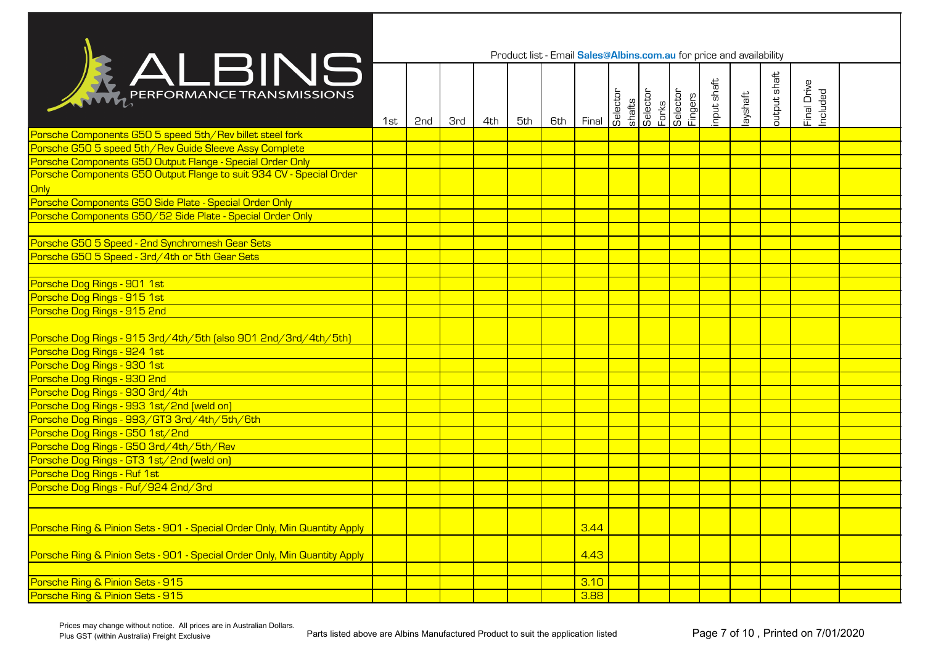|                                                                           |     |     |            |     |     |     | Product list - Email Sales@Albins.com.au for price and availability |          |                             |                     |             |          |              |                         |  |
|---------------------------------------------------------------------------|-----|-----|------------|-----|-----|-----|---------------------------------------------------------------------|----------|-----------------------------|---------------------|-------------|----------|--------------|-------------------------|--|
| ALBING                                                                    | 1st | 2nd | <b>3rd</b> | 4th | 5th | 6th | Final                                                               | Selector | shafts<br>Selector<br>Forks | delector<br>Fingers | input shaft | layshaft | output shaft | Final Drive<br>Included |  |
| Porsche Components G50 5 speed 5th/Rev billet steel fork                  |     |     |            |     |     |     |                                                                     |          |                             |                     |             |          |              |                         |  |
| Porsche G50 5 speed 5th/Rev Guide Sleeve Assy Complete                    |     |     |            |     |     |     |                                                                     |          |                             |                     |             |          |              |                         |  |
| Porsche Components G50 Output Flange - Special Order Only                 |     |     |            |     |     |     |                                                                     |          |                             |                     |             |          |              |                         |  |
| Porsche Components G50 Output Flange to suit 934 CV - Special Order       |     |     |            |     |     |     |                                                                     |          |                             |                     |             |          |              |                         |  |
| Only                                                                      |     |     |            |     |     |     |                                                                     |          |                             |                     |             |          |              |                         |  |
| Porsche Components G50 Side Plate - Special Order Only                    |     |     |            |     |     |     |                                                                     |          |                             |                     |             |          |              |                         |  |
| Porsche Components G50/52 Side Plate - Special Order Only                 |     |     |            |     |     |     |                                                                     |          |                             |                     |             |          |              |                         |  |
|                                                                           |     |     |            |     |     |     |                                                                     |          |                             |                     |             |          |              |                         |  |
| Porsche G50 5 Speed - 2nd Synchromesh Gear Sets                           |     |     |            |     |     |     |                                                                     |          |                             |                     |             |          |              |                         |  |
| Porsche G50 5 Speed - 3rd/4th or 5th Gear Sets                            |     |     |            |     |     |     |                                                                     |          |                             |                     |             |          |              |                         |  |
|                                                                           |     |     |            |     |     |     |                                                                     |          |                             |                     |             |          |              |                         |  |
| Porsche Dog Rings - 901 1st                                               |     |     |            |     |     |     |                                                                     |          |                             |                     |             |          |              |                         |  |
| Porsche Dog Rings - 915 1st                                               |     |     |            |     |     |     |                                                                     |          |                             |                     |             |          |              |                         |  |
| Porsche Dog Rings - 915 2nd                                               |     |     |            |     |     |     |                                                                     |          |                             |                     |             |          |              |                         |  |
| Porsche Dog Rings - 915 3rd/4th/5th (also 901 2nd/3rd/4th/5th)            |     |     |            |     |     |     |                                                                     |          |                             |                     |             |          |              |                         |  |
| Porsche Dog Rings - 924 1st                                               |     |     |            |     |     |     |                                                                     |          |                             |                     |             |          |              |                         |  |
| Porsche Dog Rings - 930 1st                                               |     |     |            |     |     |     |                                                                     |          |                             |                     |             |          |              |                         |  |
| Porsche Dog Rings - 930 2nd                                               |     |     |            |     |     |     |                                                                     |          |                             |                     |             |          |              |                         |  |
| Porsche Dog Rings - 930 3rd/4th                                           |     |     |            |     |     |     |                                                                     |          |                             |                     |             |          |              |                         |  |
| Porsche Dog Rings - 993 1st/2nd [weld on]                                 |     |     |            |     |     |     |                                                                     |          |                             |                     |             |          |              |                         |  |
| Porsche Dog Rings - 993/GT3 3rd/4th/5th/6th                               |     |     |            |     |     |     |                                                                     |          |                             |                     |             |          |              |                         |  |
| Porsche Dog Rings - G50 1st/2nd                                           |     |     |            |     |     |     |                                                                     |          |                             |                     |             |          |              |                         |  |
| Porsche Dog Rings - G50 3rd/4th/5th/Rev                                   |     |     |            |     |     |     |                                                                     |          |                             |                     |             |          |              |                         |  |
| Porsche Dog Rings - GT3 1st/2nd [weld on]                                 |     |     |            |     |     |     |                                                                     |          |                             |                     |             |          |              |                         |  |
| Porsche Dog Rings - Ruf 1st                                               |     |     |            |     |     |     |                                                                     |          |                             |                     |             |          |              |                         |  |
| Porsche Dog Rings - Ruf/924 2nd/3rd                                       |     |     |            |     |     |     |                                                                     |          |                             |                     |             |          |              |                         |  |
|                                                                           |     |     |            |     |     |     |                                                                     |          |                             |                     |             |          |              |                         |  |
|                                                                           |     |     |            |     |     |     |                                                                     |          |                             |                     |             |          |              |                         |  |
| Porsche Ring & Pinion Sets - 901 - Special Order Only, Min Quantity Apply |     |     |            |     |     |     | 3.44                                                                |          |                             |                     |             |          |              |                         |  |
|                                                                           |     |     |            |     |     |     |                                                                     |          |                             |                     |             |          |              |                         |  |
| Porsche Ring & Pinion Sets - 901 - Special Order Only, Min Quantity Apply |     |     |            |     |     |     | 4.43                                                                |          |                             |                     |             |          |              |                         |  |
|                                                                           |     |     |            |     |     |     |                                                                     |          |                             |                     |             |          |              |                         |  |
| Porsche Ring & Pinion Sets - 915                                          |     |     |            |     |     |     | 3.10                                                                |          |                             |                     |             |          |              |                         |  |
| Porsche Ring & Pinion Sets - 915                                          |     |     |            |     |     |     | 3.88                                                                |          |                             |                     |             |          |              |                         |  |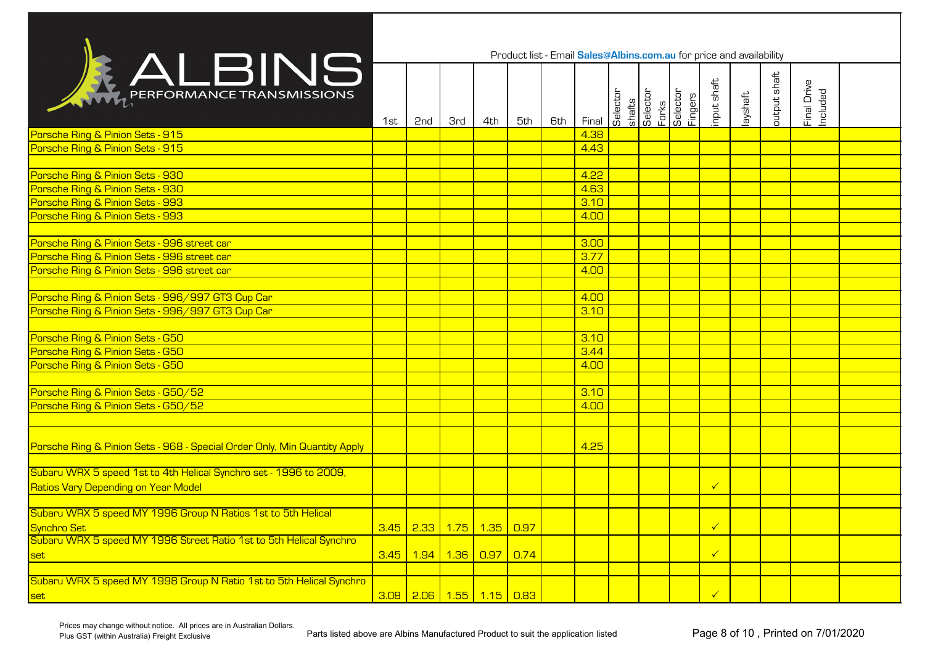|                                                                           |     |                          |            |     | Product list - Email Sales@Albins.com.au for price and availability |     |       |          |                             |                     |                      |          |              |                         |  |
|---------------------------------------------------------------------------|-----|--------------------------|------------|-----|---------------------------------------------------------------------|-----|-------|----------|-----------------------------|---------------------|----------------------|----------|--------------|-------------------------|--|
| RALBINS                                                                   | 1st | 2 <sub>nd</sub>          | <b>3rd</b> | 4th | 5th                                                                 | 6th | Final | Selector | shafts<br>Selector<br>Forks | Selector<br>Fingers | input shaft          | layshaft | output shaft | Final Drive<br>Included |  |
| Porsche Ring & Pinion Sets - 915                                          |     |                          |            |     |                                                                     |     | 4.38  |          |                             |                     |                      |          |              |                         |  |
| Porsche Ring & Pinion Sets - 915                                          |     |                          |            |     |                                                                     |     | 4.43  |          |                             |                     |                      |          |              |                         |  |
|                                                                           |     |                          |            |     |                                                                     |     |       |          |                             |                     |                      |          |              |                         |  |
| Porsche Ring & Pinion Sets - 930                                          |     |                          |            |     |                                                                     |     | 4.22  |          |                             |                     |                      |          |              |                         |  |
| Porsche Ring & Pinion Sets - 930                                          |     |                          |            |     |                                                                     |     | 4.63  |          |                             |                     |                      |          |              |                         |  |
| Porsche Ring & Pinion Sets - 993                                          |     |                          |            |     |                                                                     |     | 3.10  |          |                             |                     |                      |          |              |                         |  |
| Porsche Ring & Pinion Sets - 993                                          |     |                          |            |     |                                                                     |     | 4.00  |          |                             |                     |                      |          |              |                         |  |
|                                                                           |     |                          |            |     |                                                                     |     |       |          |                             |                     |                      |          |              |                         |  |
| Porsche Ring & Pinion Sets - 996 street car                               |     |                          |            |     |                                                                     |     | 3.00  |          |                             |                     |                      |          |              |                         |  |
| Porsche Ring & Pinion Sets - 996 street car                               |     |                          |            |     |                                                                     |     | 3.77  |          |                             |                     |                      |          |              |                         |  |
| Porsche Ring & Pinion Sets - 996 street car                               |     |                          |            |     |                                                                     |     | 4.00  |          |                             |                     |                      |          |              |                         |  |
|                                                                           |     |                          |            |     |                                                                     |     |       |          |                             |                     |                      |          |              |                         |  |
| Porsche Ring & Pinion Sets - 996/997 GT3 Cup Car                          |     |                          |            |     |                                                                     |     | 4.00  |          |                             |                     |                      |          |              |                         |  |
| Porsche Ring & Pinion Sets - 996/997 GT3 Cup Car                          |     |                          |            |     |                                                                     |     | 3.10  |          |                             |                     |                      |          |              |                         |  |
| Porsche Ring & Pinion Sets - G50                                          |     |                          |            |     |                                                                     |     | 3.10  |          |                             |                     |                      |          |              |                         |  |
| Porsche Ring & Pinion Sets - G50                                          |     |                          |            |     |                                                                     |     | 3.44  |          |                             |                     |                      |          |              |                         |  |
| Porsche Ring & Pinion Sets - G50                                          |     |                          |            |     |                                                                     |     | 4.00  |          |                             |                     |                      |          |              |                         |  |
|                                                                           |     |                          |            |     |                                                                     |     |       |          |                             |                     |                      |          |              |                         |  |
| Porsche Ring & Pinion Sets - G50/52                                       |     |                          |            |     |                                                                     |     | 3.10  |          |                             |                     |                      |          |              |                         |  |
| Porsche Ring & Pinion Sets - G50/52                                       |     |                          |            |     |                                                                     |     | 4.00  |          |                             |                     |                      |          |              |                         |  |
|                                                                           |     |                          |            |     |                                                                     |     |       |          |                             |                     |                      |          |              |                         |  |
|                                                                           |     |                          |            |     |                                                                     |     |       |          |                             |                     |                      |          |              |                         |  |
| Porsche Ring & Pinion Sets - 968 - Special Order Only, Min Quantity Apply |     |                          |            |     |                                                                     |     | 4.25  |          |                             |                     |                      |          |              |                         |  |
|                                                                           |     |                          |            |     |                                                                     |     |       |          |                             |                     |                      |          |              |                         |  |
| Subaru WRX 5 speed 1st to 4th Helical Synchro set - 1996 to 2009,         |     |                          |            |     |                                                                     |     |       |          |                             |                     |                      |          |              |                         |  |
| Ratios Vary Depending on Year Model                                       |     |                          |            |     |                                                                     |     |       |          |                             |                     | $\checkmark$         |          |              |                         |  |
|                                                                           |     |                          |            |     |                                                                     |     |       |          |                             |                     |                      |          |              |                         |  |
| Subaru WRX 5 speed MY 1996 Group N Ratios 1st to 5th Helical              |     |                          |            |     |                                                                     |     |       |          |                             |                     |                      |          |              |                         |  |
| <b>Synchro Set</b>                                                        |     | 3.45 2.33 1.75 1.35 0.97 |            |     |                                                                     |     |       |          |                             |                     | $\checkmark$         |          |              |                         |  |
| Subaru WRX 5 speed MY 1996 Street Ratio 1st to 5th Helical Synchro        |     |                          |            |     |                                                                     |     |       |          |                             |                     |                      |          |              |                         |  |
| set                                                                       |     | 3.45 1.94 1.36 0.97      |            |     | $\boxed{0.74}$                                                      |     |       |          |                             |                     | $\checkmark$         |          |              |                         |  |
| Subaru WRX 5 speed MY 1998 Group N Ratio 1st to 5th Helical Synchro       |     |                          |            |     |                                                                     |     |       |          |                             |                     |                      |          |              |                         |  |
|                                                                           |     |                          |            |     |                                                                     |     |       |          |                             |                     | $\blacktriangledown$ |          |              |                         |  |
| set                                                                       |     | 3.08 2.06 1.55 1.15 0.83 |            |     |                                                                     |     |       |          |                             |                     |                      |          |              |                         |  |

Prices may change without notice. All prices are in Australian Dollars.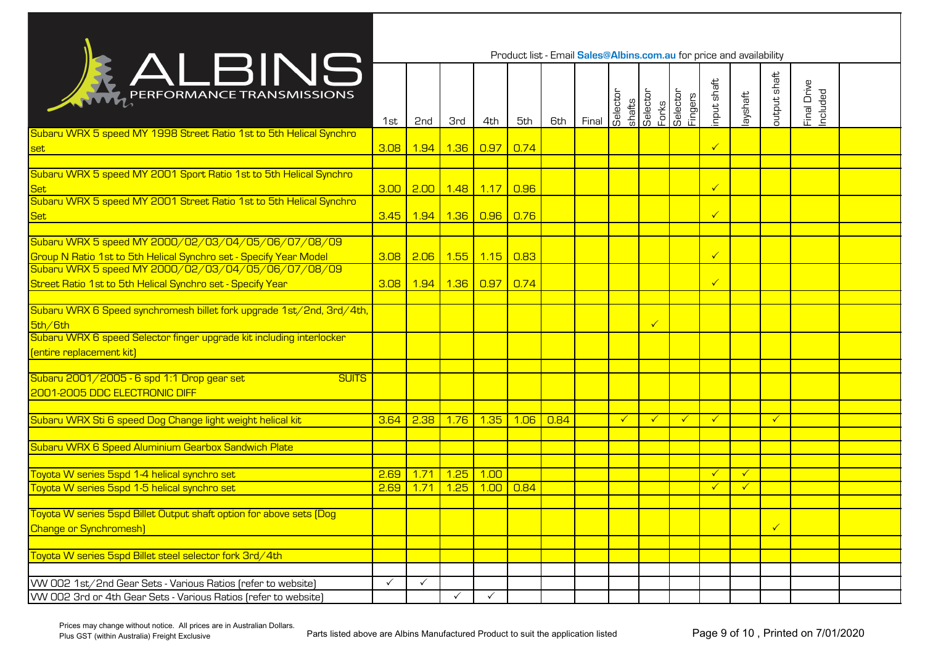|                                                                                                                                 |              |                 |                        |                   |                   |      | Product list - Email Sales@Albins.com.au for price and availability |              |                             |                            |                              |                              |              |                         |  |
|---------------------------------------------------------------------------------------------------------------------------------|--------------|-----------------|------------------------|-------------------|-------------------|------|---------------------------------------------------------------------|--------------|-----------------------------|----------------------------|------------------------------|------------------------------|--------------|-------------------------|--|
| <b>KALBINS</b>                                                                                                                  | 1st          | 2 <sub>nd</sub> | <b>3rd</b>             | 4th               | 5th               | 6th  | Final                                                               | Selector     | shafts<br>Selector<br>Forks | <b>Selector</b><br>Fingers | input shaft                  | layshaft                     | output shaft | Final Drive<br>Included |  |
| Subaru WRX 5 speed MY 1998 Street Ratio 1st to 5th Helical Synchro<br>set                                                       | 3.08         |                 | 1.94 1.36              | 0.97              | 0.74              |      |                                                                     |              |                             |                            | $\checkmark$                 |                              |              |                         |  |
| Subaru WRX 5 speed MY 2001 Sport Ratio 1st to 5th Helical Synchro<br>Set                                                        |              |                 | 3.00 2.00 1.48 1.17    |                   | $\overline{0.96}$ |      |                                                                     |              |                             |                            | $\checkmark$                 |                              |              |                         |  |
| Subaru WRX 5 speed MY 2001 Street Ratio 1st to 5th Helical Synchro<br><b>Set</b>                                                | 3.45         |                 | <mark>1.94 1.36</mark> | $\overline{0.96}$ | 0.76              |      |                                                                     |              |                             |                            | $\checkmark$                 |                              |              |                         |  |
| Subaru WRX 5 speed MY 2000/02/03/04/05/06/07/08/09<br>Group N Ratio 1st to 5th Helical Synchro set - Specify Year Model         | 3.08         |                 | 2.06 1.55 1.15 0.83    |                   |                   |      |                                                                     |              |                             |                            | $\checkmark$                 |                              |              |                         |  |
| Street Ratio 1st to 5th Helical Synchro set - Specify Year                                                                      | 3.08         |                 | 1.94 1.36 0.97 0.74    |                   |                   |      |                                                                     |              |                             |                            | $\checkmark$                 |                              |              |                         |  |
| Subaru WRX 6 Speed synchromesh billet fork upgrade 1st/2nd, 3rd/4th,<br>5th/6th                                                 |              |                 |                        |                   |                   |      |                                                                     |              | $\overline{\mathsf{v}}$     |                            |                              |                              |              |                         |  |
| Subaru WRX 6 speed Selector finger upgrade kit including interlocker<br>[entire replacement kit]                                |              |                 |                        |                   |                   |      |                                                                     |              |                             |                            |                              |                              |              |                         |  |
| Subaru 2001/2005 - 6 spd 1:1 Drop gear set<br><b>SUITS</b><br>2001-2005 DDC ELECTRONIC DIFF                                     |              |                 |                        |                   |                   |      |                                                                     |              |                             |                            |                              |                              |              |                         |  |
| Subaru WRX Sti 6 speed Dog Change light weight helical kit                                                                      | 3.64         | 2.38            | 1.76                   | 1.35              | 1.06              | 0.84 |                                                                     | $\checkmark$ | $\checkmark$                | $\checkmark$               | $\checkmark$                 |                              | $\checkmark$ |                         |  |
| Subaru WRX 6 Speed Aluminium Gearbox Sandwich Plate                                                                             |              |                 |                        |                   |                   |      |                                                                     |              |                             |                            |                              |                              |              |                         |  |
| Toyota W series 5spd 1-4 helical synchro set<br>Toyota W series 5spd 1-5 helical synchro set                                    | 2.69<br>2.69 | 1.71<br>1.71    | 1.25<br>1.25           | 1.00<br>1.00      | 0.84              |      |                                                                     |              |                             |                            | $\checkmark$<br>$\checkmark$ | $\checkmark$<br>$\checkmark$ |              |                         |  |
| Toyota W series 5spd Billet Output shaft option for above sets (Dog<br><b>Change or Synchromesh)</b>                            |              |                 |                        |                   |                   |      |                                                                     |              |                             |                            |                              |                              |              |                         |  |
| Toyota W series 5spd Billet steel selector fork 3rd/4th                                                                         |              |                 |                        |                   |                   |      |                                                                     |              |                             |                            |                              |                              |              |                         |  |
| VW 002 1st/2nd Gear Sets - Various Ratios (refer to website)<br>VW 002 3rd or 4th Gear Sets - Various Ratios (refer to website) | $\checkmark$ | $\checkmark$    |                        | $\checkmark$      |                   |      |                                                                     |              |                             |                            |                              |                              |              |                         |  |